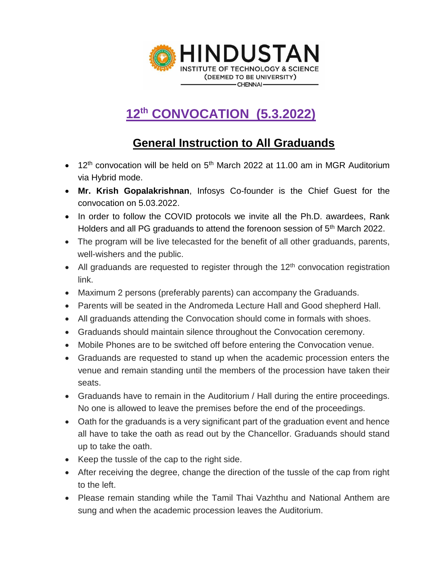

## **12th CONVOCATION (5.3.2022)**

### **General Instruction to All Graduands**

- 12<sup>th</sup> convocation will be held on 5<sup>th</sup> March 2022 at 11.00 am in MGR Auditorium via Hybrid mode.
- **Mr. Krish Gopalakrishnan**, Infosys Co-founder is the Chief Guest for the convocation on 5.03.2022.
- In order to follow the COVID protocols we invite all the Ph.D. awardees, Rank Holders and all PG graduands to attend the forenoon session of 5<sup>th</sup> March 2022.
- The program will be live telecasted for the benefit of all other graduands, parents, well-wishers and the public.
- All graduands are requested to register through the  $12<sup>th</sup>$  convocation registration link.
- Maximum 2 persons (preferably parents) can accompany the Graduands.
- Parents will be seated in the Andromeda Lecture Hall and Good shepherd Hall.
- All graduands attending the Convocation should come in formals with shoes.
- Graduands should maintain silence throughout the Convocation ceremony.
- Mobile Phones are to be switched off before entering the Convocation venue.
- Graduands are requested to stand up when the academic procession enters the venue and remain standing until the members of the procession have taken their seats.
- Graduands have to remain in the Auditorium / Hall during the entire proceedings. No one is allowed to leave the premises before the end of the proceedings.
- Oath for the graduands is a very significant part of the graduation event and hence all have to take the oath as read out by the Chancellor. Graduands should stand up to take the oath.
- Keep the tussle of the cap to the right side.
- After receiving the degree, change the direction of the tussle of the cap from right to the left.
- Please remain standing while the Tamil Thai Vazhthu and National Anthem are sung and when the academic procession leaves the Auditorium.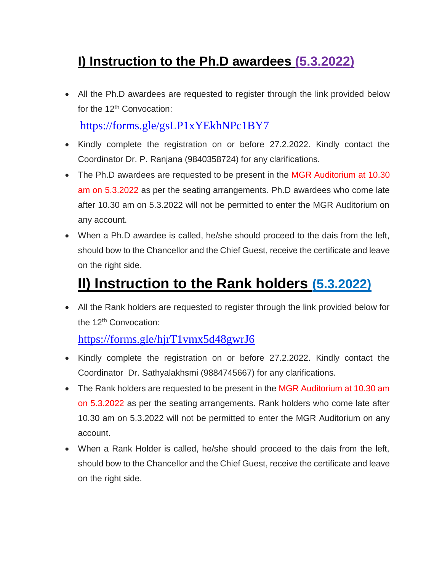## **I) Instruction to the Ph.D awardees (5.3.2022)**

• All the Ph.D awardees are requested to register through the link provided below for the 12<sup>th</sup> Convocation:

<https://forms.gle/gsLP1xYEkhNPc1BY7>

- Kindly complete the registration on or before 27.2.2022. Kindly contact the Coordinator Dr. P. Ranjana (9840358724) for any clarifications.
- The Ph.D awardees are requested to be present in the MGR Auditorium at 10.30 am on 5.3.2022 as per the seating arrangements. Ph.D awardees who come late after 10.30 am on 5.3.2022 will not be permitted to enter the MGR Auditorium on any account.
- When a Ph.D awardee is called, he/she should proceed to the dais from the left, should bow to the Chancellor and the Chief Guest, receive the certificate and leave on the right side.

# **II) Instruction to the Rank holders (5.3.2022)**

• All the Rank holders are requested to register through the link provided below for the 12<sup>th</sup> Convocation:

#### <https://forms.gle/hjrT1vmx5d48gwrJ6>

- Kindly complete the registration on or before 27.2.2022. Kindly contact the Coordinator Dr. Sathyalakhsmi (9884745667) for any clarifications.
- The Rank holders are requested to be present in the MGR Auditorium at 10.30 am on 5.3.2022 as per the seating arrangements. Rank holders who come late after 10.30 am on 5.3.2022 will not be permitted to enter the MGR Auditorium on any account.
- When a Rank Holder is called, he/she should proceed to the dais from the left, should bow to the Chancellor and the Chief Guest, receive the certificate and leave on the right side.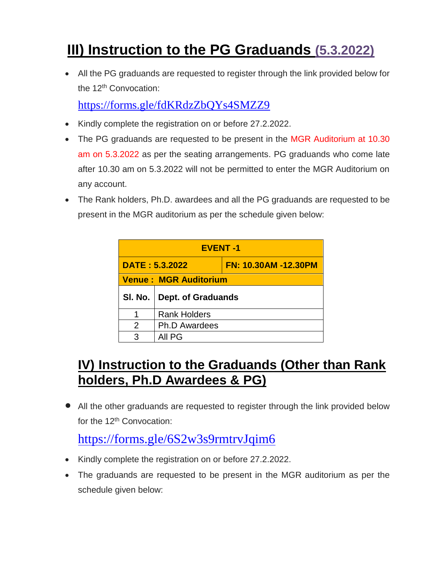# **III) Instruction to the PG Graduands (5.3.2022)**

• All the PG graduands are requested to register through the link provided below for the 12<sup>th</sup> Convocation:

<https://forms.gle/fdKRdzZbQYs4SMZZ9>

- Kindly complete the registration on or before 27.2.2022.
- The PG graduands are requested to be present in the MGR Auditorium at 10.30 am on 5.3.2022 as per the seating arrangements. PG graduands who come late after 10.30 am on 5.3.2022 will not be permitted to enter the MGR Auditorium on any account.
- The Rank holders, Ph.D. awardees and all the PG graduands are requested to be present in the MGR auditorium as per the schedule given below:

| <b>EVENT-1</b>               |                           |                             |  |  |  |
|------------------------------|---------------------------|-----------------------------|--|--|--|
| <b>DATE: 5.3.2022</b>        |                           | <b>FN: 10.30AM -12.30PM</b> |  |  |  |
| <b>Venue: MGR Auditorium</b> |                           |                             |  |  |  |
|                              | <b>Dept. of Graduands</b> |                             |  |  |  |
| SI. No.                      |                           |                             |  |  |  |
|                              | <b>Rank Holders</b>       |                             |  |  |  |
| $\mathcal{P}$                | <b>Ph.D Awardees</b>      |                             |  |  |  |

## **IV) Instruction to the Graduands (Other than Rank holders, Ph.D Awardees & PG)**

• All the other graduands are requested to register through the link provided below for the 12<sup>th</sup> Convocation:

### <https://forms.gle/6S2w3s9rmtrvJqim6>

- Kindly complete the registration on or before 27.2.2022.
- The graduands are requested to be present in the MGR auditorium as per the schedule given below: